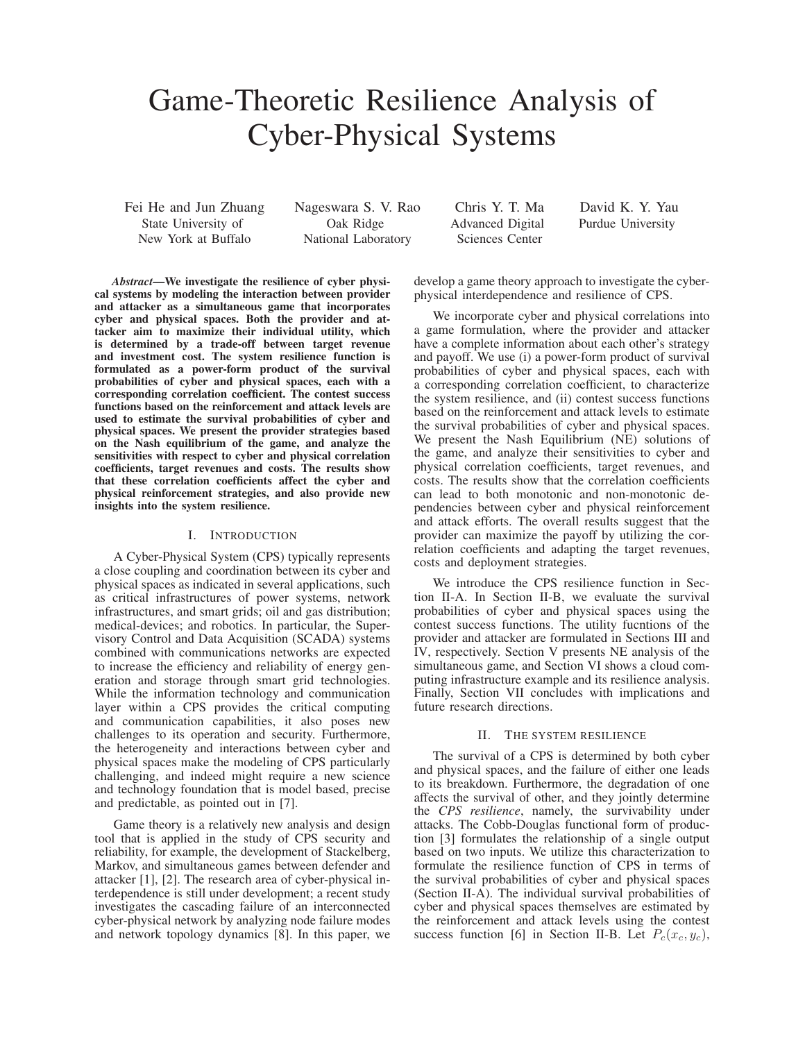# Game-Theoretic Resilience Analysis of Cyber-Physical Systems

Fei He and Jun Zhuang State University of New York at Buffalo

Nageswara S. V. Rao Oak Ridge National Laboratory

Chris Y. T. Ma Advanced Digital Sciences Center

David K. Y. Yau Purdue University

*Abstract*—We investigate the resilience of cyber physical systems by modeling the interaction between provider and attacker as a simultaneous game that incorporates cyber and physical spaces. Both the provider and attacker aim to maximize their individual utility, which is determined by a trade-off between target revenue and investment cost. The system resilience function is formulated as a power-form product of the survival probabilities of cyber and physical spaces, each with a corresponding correlation coefficient. The contest success functions based on the reinforcement and attack levels are used to estimate the survival probabilities of cyber and physical spaces. We present the provider strategies based on the Nash equilibrium of the game, and analyze the sensitivities with respect to cyber and physical correlation coefficients, target revenues and costs. The results show that these correlation coefficients affect the cyber and physical reinforcement strategies, and also provide new insights into the system resilience.

## I. INTRODUCTION

A Cyber-Physical System (CPS) typically represents a close coupling and coordination between its cyber and physical spaces as indicated in several applications, such as critical infrastructures of power systems, network infrastructures, and smart grids; oil and gas distribution; medical-devices; and robotics. In particular, the Supervisory Control and Data Acquisition (SCADA) systems combined with communications networks are expected to increase the efficiency and reliability of energy generation and storage through smart grid technologies. While the information technology and communication layer within a CPS provides the critical computing and communication capabilities, it also poses new challenges to its operation and security. Furthermore, the heterogeneity and interactions between cyber and physical spaces make the modeling of CPS particularly challenging, and indeed might require a new science and technology foundation that is model based, precise and predictable, as pointed out in [7].

Game theory is a relatively new analysis and design tool that is applied in the study of CPS security and reliability, for example, the development of Stackelberg, Markov, and simultaneous games between defender and attacker [1], [2]. The research area of cyber-physical interdependence is still under development; a recent study investigates the cascading failure of an interconnected cyber-physical network by analyzing node failure modes and network topology dynamics [8]. In this paper, we develop a game theory approach to investigate the cyberphysical interdependence and resilience of CPS.

We incorporate cyber and physical correlations into a game formulation, where the provider and attacker have a complete information about each other's strategy and payoff. We use (i) a power-form product of survival probabilities of cyber and physical spaces, each with a corresponding correlation coefficient, to characterize the system resilience, and (ii) contest success functions based on the reinforcement and attack levels to estimate the survival probabilities of cyber and physical spaces. We present the Nash Equilibrium (NE) solutions of the game, and analyze their sensitivities to cyber and physical correlation coefficients, target revenues, and costs. The results show that the correlation coefficients can lead to both monotonic and non-monotonic dependencies between cyber and physical reinforcement and attack efforts. The overall results suggest that the provider can maximize the payoff by utilizing the correlation coefficients and adapting the target revenues, costs and deployment strategies.

We introduce the CPS resilience function in Section II-A. In Section II-B, we evaluate the survival probabilities of cyber and physical spaces using the contest success functions. The utility fucntions of the provider and attacker are formulated in Sections III and IV, respectively. Section V presents NE analysis of the simultaneous game, and Section VI shows a cloud computing infrastructure example and its resilience analysis. Finally, Section VII concludes with implications and future research directions.

# II. THE SYSTEM RESILIENCE

The survival of a CPS is determined by both cyber and physical spaces, and the failure of either one leads to its breakdown. Furthermore, the degradation of one affects the survival of other, and they jointly determine the *CPS resilience*, namely, the survivability under attacks. The Cobb-Douglas functional form of production [3] formulates the relationship of a single output based on two inputs. We utilize this characterization to formulate the resilience function of CPS in terms of the survival probabilities of cyber and physical spaces (Section II-A). The individual survival probabilities of cyber and physical spaces themselves are estimated by the reinforcement and attack levels using the contest success function [6] in Section II-B. Let  $P_c(x_c, y_c)$ ,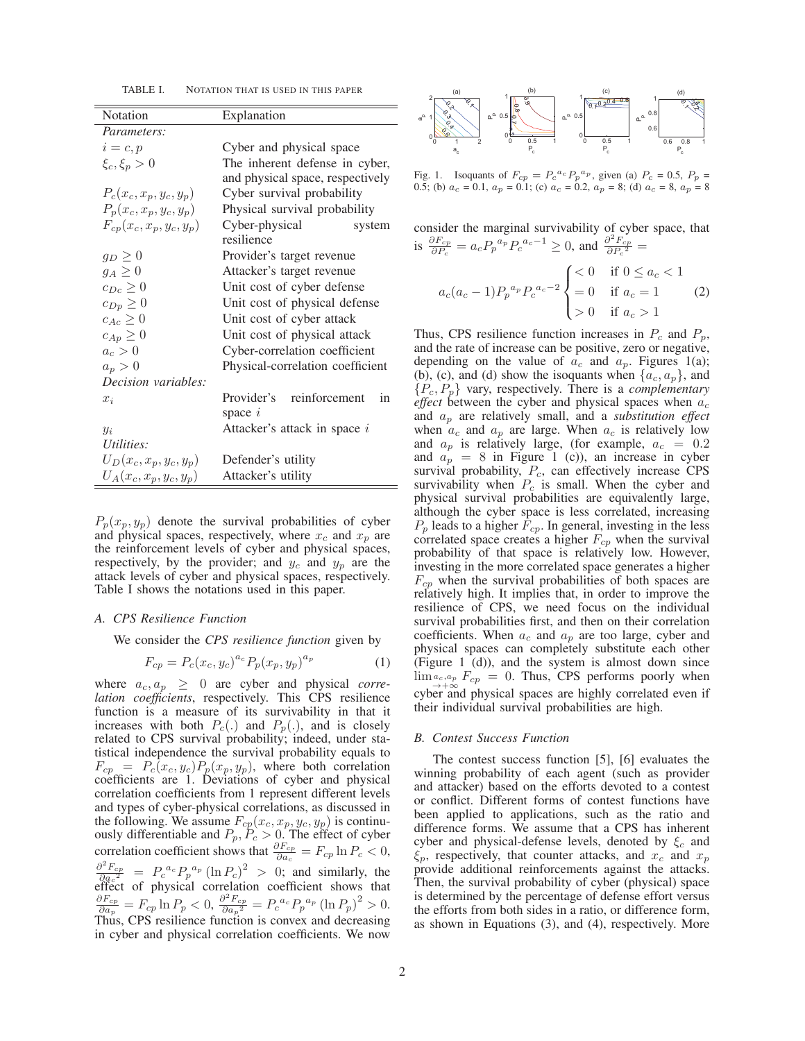TABLE I. NOTATION THAT IS USED IN THIS PAPER

| <b>Notation</b>              | Explanation                                                        |  |  |  |  |
|------------------------------|--------------------------------------------------------------------|--|--|--|--|
| Parameters:                  |                                                                    |  |  |  |  |
| $i = c, p$                   | Cyber and physical space                                           |  |  |  |  |
| $\xi_c, \xi_p > 0$           | The inherent defense in cyber,<br>and physical space, respectively |  |  |  |  |
| $P_c(x_c, x_p, y_c, y_p)$    | Cyber survival probability                                         |  |  |  |  |
| $P_p(x_c, x_p, y_c, y_p)$    | Physical survival probability                                      |  |  |  |  |
| $F_{cp}(x_c, x_p, y_c, y_p)$ | Cyber-physical<br>system<br>resilience                             |  |  |  |  |
| $g_D \geq 0$                 | Provider's target revenue                                          |  |  |  |  |
| $g_A \geq 0$                 | Attacker's target revenue                                          |  |  |  |  |
| $c_{Dc} \geq 0$              | Unit cost of cyber defense                                         |  |  |  |  |
| $c_{Dp} \geq 0$              | Unit cost of physical defense                                      |  |  |  |  |
| $c_{Ac} \geq 0$              | Unit cost of cyber attack                                          |  |  |  |  |
| $c_{Ap} \geq 0$              | Unit cost of physical attack                                       |  |  |  |  |
| $a_c > 0$                    | Cyber-correlation coefficient                                      |  |  |  |  |
| $a_p > 0$                    | Physical-correlation coefficient                                   |  |  |  |  |
| Decision variables:          |                                                                    |  |  |  |  |
| $x_i$                        | Provider's reinforcement<br>in                                     |  |  |  |  |
|                              | space $i$                                                          |  |  |  |  |
| $y_i$                        | Attacker's attack in space i                                       |  |  |  |  |
| Utilities:                   |                                                                    |  |  |  |  |
| $U_D(x_c, x_p, y_c, y_p)$    | Defender's utility                                                 |  |  |  |  |
| $U_A(x_c, x_p, y_c, y_p)$    | Attacker's utility                                                 |  |  |  |  |

 $P_p(x_p, y_p)$  denote the survival probabilities of cyber and physical spaces, respectively, where  $x_c$  and  $x_p$  are the reinforcement levels of cyber and physical spaces, respectively, by the provider; and  $y_c$  and  $y_p$  are the attack levels of cyber and physical spaces, respectively. Table I shows the notations used in this paper.

#### *A. CPS Resilience Function*

We consider the *CPS resilience function* given by

$$
F_{cp} = P_c(x_c, y_c)^{a_c} P_p(x_p, y_p)^{a_p}
$$
 (1)

where  $a_c, a_p \geq 0$  are cyber and physical *correlation coefficients*, respectively. This CPS resilience function is a measure of its survivability in that it increases with both  $P_c(.)$  and  $P_p(.)$ , and is closely related to CPS survival probability; indeed, under statistical independence the survival probability equals to  $F_{cp} = P_c(x_c, y_c) P_p(x_p, y_p)$ , where both correlation coefficients are 1. Deviations of cyber and physical correlation coefficients from 1 represent different levels and types of cyber-physical correlations, as discussed in the following. We assume  $F_{cp}(x_c, x_p, y_c, y_p)$  is continu-<br>ously differentiable and  $P_c, P_s > 0$ . The effect of cyber ously differentiable and  $P_p$ ,  $P_c > 0$ . The effect of cyber correlation coefficient shows that  $\frac{\partial F_{cp}}{\partial a_c} = F_{cp} \ln P_c < 0$ ,  $\frac{\partial^2 F_{cp}}{\partial a_c^2} = \frac{\partial^2 F_{cp}}{\partial a_c^2}$  $\frac{\partial^2 F_{cp}}{\partial q}$  $\frac{\partial^2 F_{cp}}{\partial a_c^2} = P_c^{a_c} P_p^{a_p} (\ln P_c)^2 > 0$ ; and similarly, the effect of physical correlation coefficient shows that  $\frac{\partial F_{cp}}{\partial a_p} = F_{cp} \ln P_p < 0$ ,  $\frac{\partial^2 F_{cp}}{\partial a_p^2} = P_c^{a_c} P_p^{a_p} (\ln P_p)^2 > 0$ .<br>Thus, CPS resilience function is convex and decreasing in cyber and physical correlation coefficients. We now



Fig. 1. Isoquants of  $F_{cp} = P_c{}^{a}C P_p{}^{a}P$ , given (a)  $P_c = 0.5$ ,  $P_p = 0.5$ ; (b)  $a_2 = 0.1$ ,  $a_3 = 0.1$ ; (c)  $a_4 = 0.2$ ,  $a_5 = 8$ ; (d)  $a_5 = 8$ ,  $a_6 = 8$ 0.5; (b)  $a_c = 0.1$ ,  $a_p = 0.1$ ; (c)  $a_c = 0.2$ ,  $a_p = 8$ ; (d)  $a_c = 8$ ,  $a_p = 8$ 

consider the marginal survivability of cyber space, that is  $\frac{\partial F_{cp}}{\partial P_c} = a_c P_p^{a_p} P_c^{a_c - 1} \ge 0$ , and  $\frac{\partial^2 F_{cp}}{\partial P_c^2} =$ 

$$
a_c(a_c - 1)P_p^{a_p}P_c^{a_c - 2} \begin{cases} < 0 & \text{if } 0 \le a_c < 1 \\ = 0 & \text{if } a_c = 1 \\ > 0 & \text{if } a_c > 1 \end{cases}
$$
 (2)

Thus, CPS resilience function increases in  $P_c$  and  $P_p$ , and the rate of increase can be positive, zero or negative, depending on the value of  $a_c$  and  $a_p$ . Figures 1(a); (b), (c), and (d) show the isoquants when  $\{a_c, a_p\}$ , and {Pc, Pp} vary, respectively. There is a *complementary effect* between the cyber and physical spaces when  $a_c$ and <sup>a</sup>p are relatively small, and a *substitution effect* when  $a_c$  and  $a_p$  are large. When  $a_c$  is relatively low and  $a_p$  is relatively large, (for example,  $a_c = 0.2$ and  $a_p = 8$  in Figure 1 (c)), an increase in cyber survival probability,  $P_c$ , can effectively increase CPS<br>survivability when  $P_c$  is small. When the cyber and survivability when  $P_c$  is small. When the cyber and physical survival probabilities are equivalently large. physical survival probabilities are equivalently large, although the cyber space is less correlated, increasing  $P_p$  leads to a higher  $\hat{F}_{cp}$ . In general, investing in the less correlated space creates a higher  $F_{cp}$  when the survival probability of that space is relatively low. However, investing in the more correlated space generates a higher  $F_{cp}$  when the survival probabilities of both spaces are relatively high. It implies that, in order to improve the resilience of CPS, we need focus on the individual survival probabilities first, and then on their correlation coefficients. When  $a_c$  and  $a_p$  are too large, cyber and physical spaces can completely substitute each other (Figure 1 (d)), and the system is almost down since  $\lim_{a_c, a_p} F_{cp} = 0$ . Thus, CPS performs poorly when cyber and physical spaces are highly correlated even if their individual survival probabilities are high.

#### *B. Contest Success Function*

The contest success function [5], [6] evaluates the winning probability of each agent (such as provider and attacker) based on the efforts devoted to a contest or conflict. Different forms of contest functions have been applied to applications, such as the ratio and difference forms. We assume that a CPS has inherent cyber and physical-defense levels, denoted by  $\xi_c$  and  $\xi_p$ , respectively, that counter attacks, and  $x_c$  and  $x_p$ provide additional reinforcements against the attacks. Then, the survival probability of cyber (physical) space is determined by the percentage of defense effort versus the efforts from both sides in a ratio, or difference form, as shown in Equations (3), and (4), respectively. More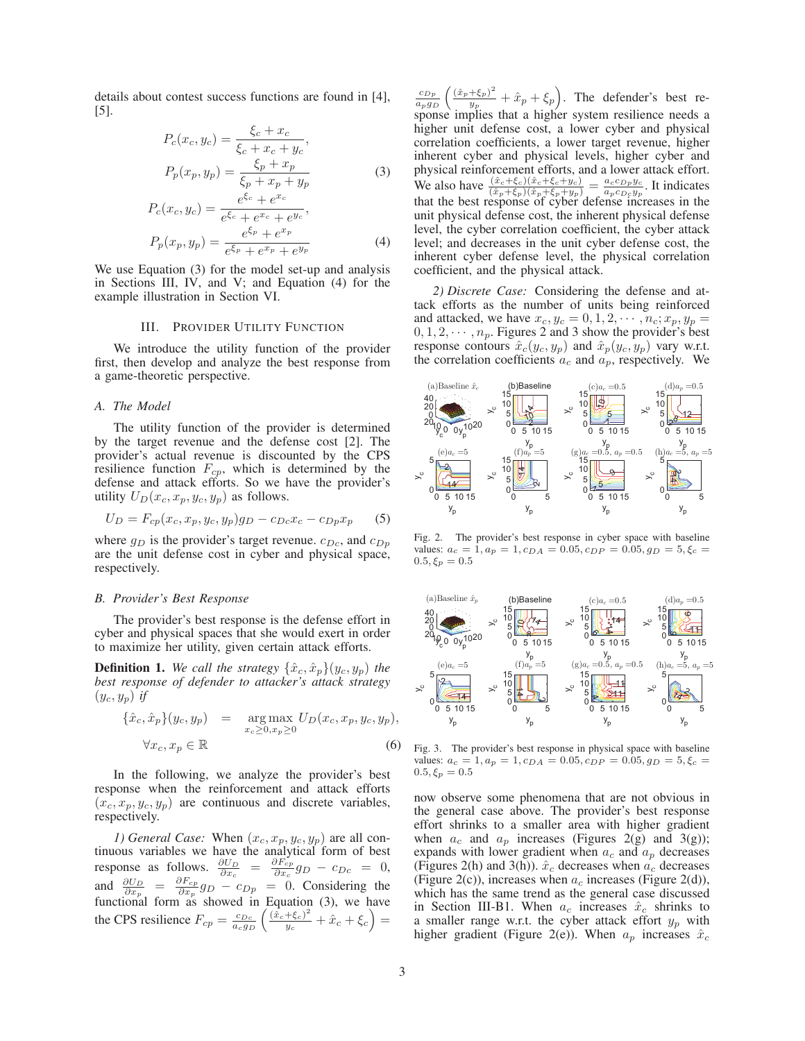details about contest success functions are found in [4], [5].

$$
P_c(x_c, y_c) = \frac{\xi_c + x_c}{\xi_c + x_c + y_c},
$$
  
\n
$$
P_p(x_p, y_p) = \frac{\xi_p + x_p}{\xi_n + x_n + y_p}
$$
 (3)

$$
P_c(x_c, y_c) = \frac{e^{\xi_c} + e^{x_c}}{e^{\xi_c} + e^{x_c} + e^{y_c}},
$$

$$
P_p(x_p, y_p) = \frac{e^{\xi_p} + e^{x_p}}{e^{\xi_p} + e^{x_p} + e^{y_p}}
$$
(4)  
We use Equation (3) for the model set-up and analysis

in Sections III, IV, and V; and Equation (4) for the example illustration in Section VI.

## III. PROVIDER UTILITY FUNCTION

We introduce the utility function of the provider first, then develop and analyze the best response from a game-theoretic perspective.

# *A. The Model*

The utility function of the provider is determined by the target revenue and the defense cost [2]. The provider's actual revenue is discounted by the CPS resilience function  $F_{cp}$ , which is determined by the defense and attack efforts. So we have the provider's utility  $U_D(x_c, x_p, y_c, y_p)$  as follows.

$$
U_D = F_{cp}(x_c, x_p, y_c, y_p)g_D - c_{Dc}x_c - c_{Dp}x_p \tag{5}
$$

where  $g_D$  is the provider's target revenue.  $c_{Dc}$ , and  $c_{Dp}$ are the unit defense cost in cyber and physical space, respectively.

# *B. Provider's Best Response*

The provider's best response is the defense effort in cyber and physical spaces that she would exert in order to maximize her utility, given certain attack efforts.

**Definition 1.** We call the strategy  $\{\hat{x}_c, \hat{x}_p\}(y_c, y_p)$  the *best response of defender to attacker's attack strategy*  $(y_c, y_p)$  *if* 

$$
\begin{aligned}\n\{\hat{x}_c, \hat{x}_p\}(y_c, y_p) &= \arg \max_{x_c \ge 0, x_p \ge 0} U_D(x_c, x_p, y_c, y_p), \\
\forall x_c, x_p \in \mathbb{R}\n\end{aligned}
$$
\n(6)

In the following, we analyze the provider's best response when the reinforcement and attack efforts  $(x_c, x_p, y_c, y_p)$  are continuous and discrete variables, respectively.

*1) General Case:* When  $(x_c, x_p, y_c, y_p)$  are all continuous variables we have the analytical form of best response as follows.  $\frac{\partial U_D}{\partial x_c} = \frac{\partial F_{cp}}{\partial x_c} g_D - c_{Dc} = 0$ , and  $\frac{\partial U_D}{\partial x_p} = \frac{\partial F_{cp}}{\partial x_p} g_D - c_{Dp} = 0$ . Considering the functional form as showed in Equation (3), we have the CPS resilience  $F_{cp} = \frac{c_{Dc}}{a_c g_D}$  $\left(\frac{(\tilde{x}_c+\xi_c)^2}{u}\right)$  $y_c$  +  $\sim c$  +  $\sim c$  $\setminus$ 

 $rac{c_{Dp}}{a}$  $a_p g_D$  $\left(\frac{(\hat{x}_p+\xi_p)^2}{u}\right)$  $y_p$   $\rightarrow$   $p + sp$  . The defender's best response implies that a higher system resilience needs a higher unit defense cost, a lower cyber and physical correlation coefficients, a lower target revenue, higher inherent cyber and physical levels, higher cyber and physical reinforcement efforts, and a lower attack effort. We also have  $\frac{(\hat{x}_c+\xi_c)(\hat{x}_c+\xi_c+y_c)}{(\hat{x}_p+\xi_p)(\hat{x}_p+\xi_p+y_p)} = \frac{a_c c_{Dp} y_c}{a_p c_{Dc} y_p}$ . It indicates that the best response of cyber defense increases in the unit physical defense cost, the inherent physical defense level, the cyber correlation coefficient, the cyber attack level; and decreases in the unit cyber defense cost, the inherent cyber defense level, the physical correlation coefficient, and the physical attack.

*2) Discrete Case:* Considering the defense and attack efforts as the number of units being reinforced and attacked, we have  $x_c, y_c = 0, 1, 2, \dots, n_c; x_p, y_p =$  $0, 1, 2, \cdots, n_p$ . Figures 2 and 3 show the provider's best response contours  $\hat{x}_c(y_c, y_p)$  and  $\hat{x}_p(y_c, y_p)$  vary w.r.t. the correlation coefficients  $a_c$  and  $a_p$ , respectively. We



Fig. 2. The provider's best response in cyber space with baseline values:  $a_c = 1, a_p = 1, c_{DA} = 0.05, c_{DP} = 0.05, g_D = 5, \xi_c =$  $0.5, \xi_p = 0.5$ 



Fig. 3. The provider's best response in physical space with baseline values:  $a_c = 1, a_p = 1, c_{DA} = 0.05, c_{DP} = 0.05, g_D = 5, \xi_c =$  $0.5, \xi_p = 0.5$ 

now observe some phenomena that are not obvious in the general case above. The provider's best response effort shrinks to a smaller area with higher gradient when  $a_c$  and  $a_p$  increases (Figures 2(g) and 3(g)); expands with lower gradient when  $a_c$  and  $a_p$  decreases (Figures 2(h) and 3(h)).  $\hat{x}_c$  decreases when  $a_c$  decreases (Figure 2(c)), increases when  $a_c$  increases (Figure 2(d)), which has the same trend as the general case discussed in Section III-B1. When  $a_c$  increases  $\hat{x}_c$  shrinks to a smaller range w.r.t. the cyber attack effort  $y_p$  with higher gradient (Figure 2(e)). When  $a_p$  increases  $\hat{x}_c$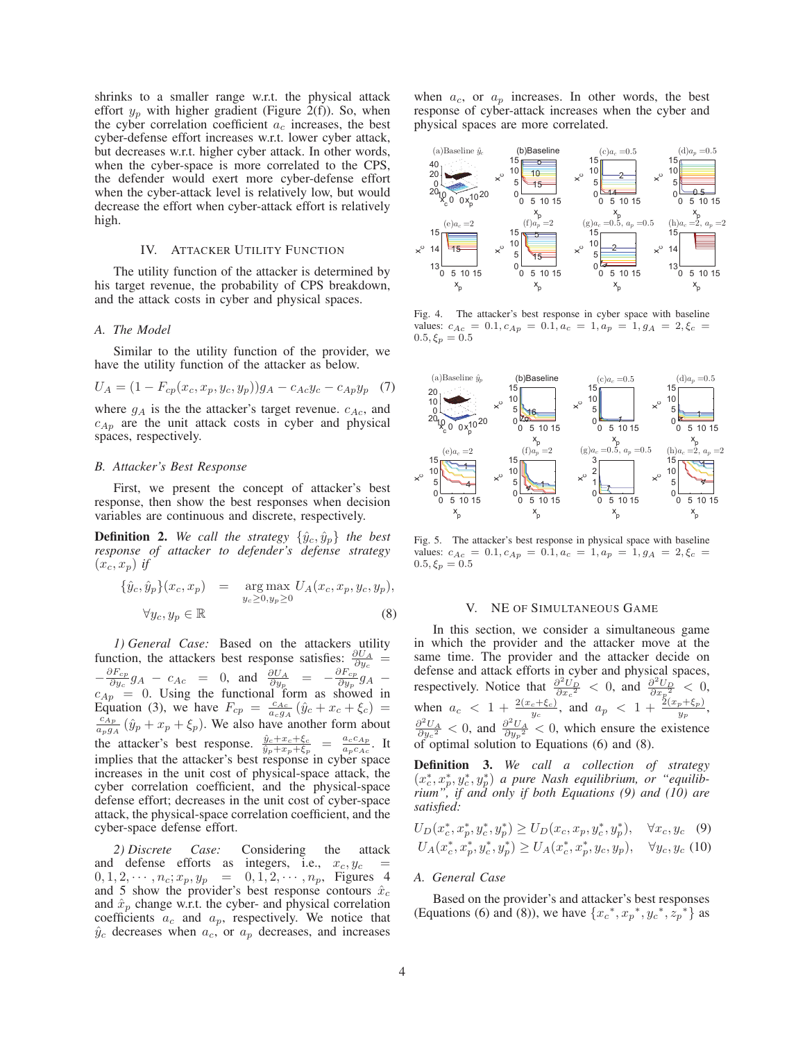shrinks to a smaller range w.r.t. the physical attack effort  $y_p$  with higher gradient (Figure 2(f)). So, when the cyber correlation coefficient  $a_c$  increases, the best cyber-defense effort increases w.r.t. lower cyber attack, but decreases w.r.t. higher cyber attack. In other words, when the cyber-space is more correlated to the CPS, the defender would exert more cyber-defense effort when the cyber-attack level is relatively low, but would decrease the effort when cyber-attack effort is relatively high.

### IV. ATTACKER UTILITY FUNCTION

The utility function of the attacker is determined by his target revenue, the probability of CPS breakdown, and the attack costs in cyber and physical spaces.

#### *A. The Model*

Similar to the utility function of the provider, we have the utility function of the attacker as below.

$$
U_A = (1 - F_{cp}(x_c, x_p, y_c, y_p))g_A - c_{Ac}y_c - c_{Ap}y_p \quad (7)
$$

where  $g_A$  is the the attacker's target revenue.  $c_{Ac}$ , and  $c_{Ap}$  are the unit attack costs in cyber and physical spaces, respectively.

#### *B. Attacker's Best Response*

First, we present the concept of attacker's best response, then show the best responses when decision variables are continuous and discrete, respectively.

**Definition 2.** We call the strategy  $\{\hat{y}_c, \hat{y}_p\}$  the best *response of attacker to defender's defense strategy*  $(x_c, x_p)$  *if* 

$$
\begin{aligned}\n\{\hat{y}_c, \hat{y}_p\}(x_c, x_p) &= \arg \max_{y_c \ge 0, y_p \ge 0} U_A(x_c, x_p, y_c, y_p), \\
\forall y_c, y_p \in \mathbb{R}\n\end{aligned}
$$
\n
$$
(8)
$$

*1) General Case:* Based on the attackers utility function, the attackers best response satisfies:  $\frac{\partial U_A}{\partial y_c}$  =  $\frac{\partial F_{cp}}{\partial y_c} g_A - c_{Ac} = 0$ , and  $\frac{\partial U_A}{\partial y_p} = -\frac{\partial F_{cp}}{\partial y_p} g_A - c_{Ac} = 0$ . Using the functional form as showed in  $c_{Ap} = 0$ . Using the functional form as showed in Equation (3), we have  $F_{cm} = \frac{c_{Ac}}{c}$  ( $\hat{u}_c + x_c + \xi_c$ ) = Equation (3), we have  $F_{cp} = \frac{c_{Ac}}{a_{cg}} (\hat{y}_c + x_c + \xi_c) = \frac{c_{Ap}}{a_{pg}} (\hat{y}_p + x_p + \xi_p)$ . We also have another form about the attacker's best response.  $\frac{\hat{y}_c + x_c + \xi_c}{\hat{y}_p + x_p + \xi_p} = \frac{a_c c_{Ap}}{a_p c_{Ac}}$ . It implies that the attacker's best response in cyber space increases in the unit cost of physical-space attack, the cyber correlation coefficient, and the physical-space defense effort; decreases in the unit cost of cyber-space attack, the physical-space correlation coefficient, and the cyber-space defense effort.

*2) Discrete Case:* Considering the attack and defense efforts as integers, i.e.,  $x_c, y_c$  $0, 1, 2, \dots, n_c; x_p, y_p = 0, 1, 2, \dots, n_p$ , Figures 4 and 5 show the provider's best response contours  $\hat{x}_c$ and  $\hat{x}_p$  change w.r.t. the cyber- and physical correlation coefficients  $a_c$  and  $a_p$ , respectively. We notice that  $\hat{y}_c$  decreases when  $a_c$ , or  $a_p$  decreases, and increases when  $a_c$ , or  $a_p$  increases. In other words, the best response of cyber-attack increases when the cyber and physical spaces are more correlated.



Fig. 4. The attacker's best response in cyber space with baseline values:  $c_{Ac} = 0.1, c_{Ap} = 0.1, a_c = 1, a_p = 1, g_A = 2, \xi_c =$  $0.5, \xi_p = 0.5$ 



Fig. 5. The attacker's best response in physical space with baseline values:  $c_{Ac} = 0.1, c_{Ap} = 0.1, a_c = 1, a_p = 1, g_A = 2, \xi_c =$  $0.5, \xi_p = 0.5$ 

# V. NE OF SIMULTANEOUS GAME

In this section, we consider a simultaneous game in which the provider and the attacker move at the same time. The provider and the attacker decide on defense and attack efforts in cyber and physical spaces, respectively. Notice that  $\frac{\partial^2 U_D}{\partial x_c^2} < 0$ , and  $\frac{\partial^2 U_D}{\partial x_p^2} < 0$ , when  $a_c < 1 + \frac{2(x_c+\xi_c)}{y_c}$ , and  $a_p < 1 + \frac{2(x_p+\xi_p)}{y_p}$ ,  $\frac{\partial^2 U_A}{\partial y_c^2}$  < 0, and  $\frac{\partial^2 U_A}{\partial y_p^2}$  < 0, which ensure the existence of optimal solution to Equations (6) and (8).

Definition 3. *We call a collection of strategy* (x∗ c , x<sup>∗</sup> p, y<sup>∗</sup> c , y<sup>∗</sup> p) *a pure Nash equilibrium, or "equilib-rium", if and only if both Equations (9) and (10) are satisfied:*

$$
U_D(x_c^*, x_p^*, y_c^*, y_p^*) \ge U_D(x_c, x_p, y_c^*, y_p^*), \quad \forall x_c, y_c \quad (9)
$$
  

$$
U_A(x_c^*, x_p^*, y_c^*, y_p^*) \ge U_A(x_c^*, x_p^*, y_c, y_p), \quad \forall y_c, y_c \quad (10)
$$

#### *A. General Case*

Based on the provider's and attacker's best responses (Equations (6) and (8)), we have  $\{x_c^*, x_p^*, y_c^*, z_p^*\}$  as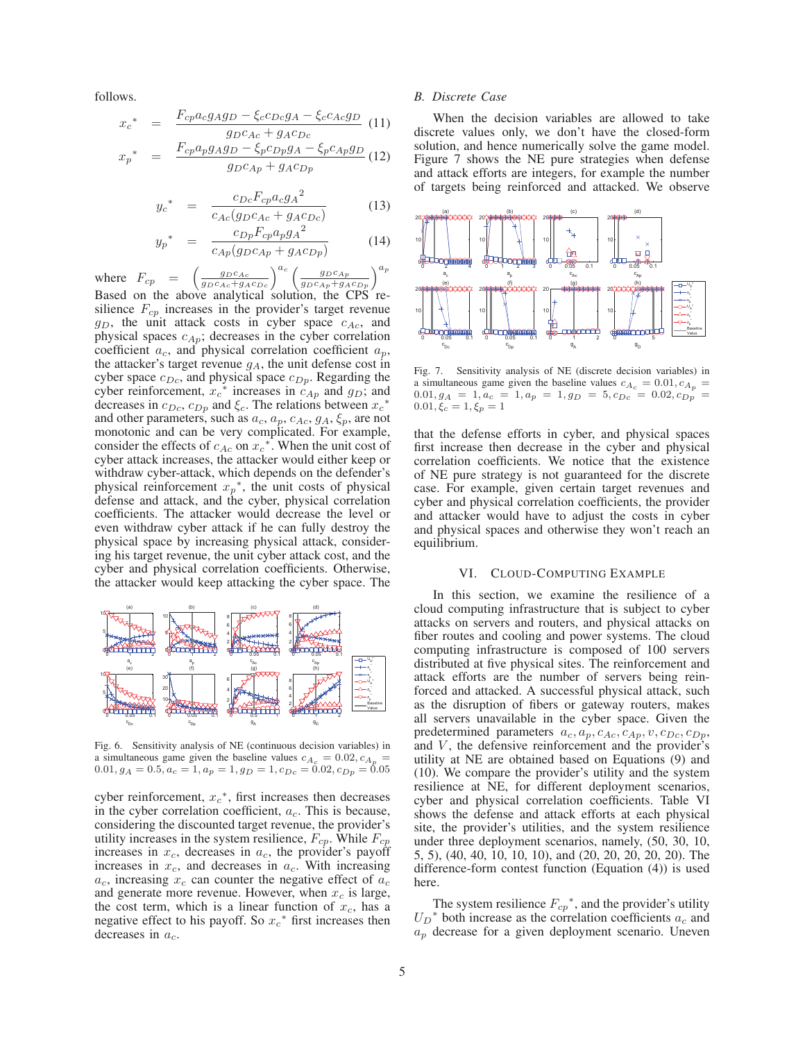follows.

$$
x_c^* = \frac{F_{cp}a_cg_Ag_D - \xi_c c_{Dc}g_A - \xi_c c_{Ac}g_D}{g_Dc_{Ac} + g_A c_{Dc}}
$$
(11)

$$
x_p^* = \frac{F_{cp}a_p g_A g_D - \xi_p c_{Dp} g_A - \xi_p c_{Ap} g_D}{g_D c_{Ap} + g_A c_{Dp}} (12)
$$

$$
y_c^* = \frac{c_{Dc} F_{cp} a_c g_A^2}{c_{Ac} (g_{D} c_{Ac} + g_A c_{Dc})}
$$
(13)

$$
y_p^* = \frac{c_{Dp} F_{cp} a_p g_A^2}{c_{Ap} (g_D c_{Ap} + g_A c_{Dp})}
$$
(14)

where  $F_{cp} = \left(\frac{g_D c_{Ac}}{g_D c_{Ac} + g_A c_{Dc}}\right)^{a_c} \left(\frac{g_D c_{Ap}}{g_D c_{Ap} + g_A c_{Dc}}\right)$  $\left(\frac{g_Dc_{Ap}}{g_Dc_{Ap}+g_Ac_{Dp}}\right)$ 

Based on the above analytical solution, the CPS resilience  $F_{cp}$  increases in the provider's target revenue  $g_D$ , the unit attack costs in cyber space  $c_{Ac}$ , and physical spaces  $c_{Ap}$ ; decreases in the cyber correlation coefficient  $a_c$ , and physical correlation coefficient  $a_p$ , the attacker's target revenue  $g_A$ , the unit defense cost in cyber space  $c_{Dc}$ , and physical space  $c_{Dp}$ . Regarding the cyber reinforcement,  $x_c^*$  increases in  $c_{Ap}$  and  $g_D$ ; and decreases in  $c_{Da}$ ,  $c_{Da}$  and  $\epsilon_a$ . The relations between  $x_c^*$ decreases in  $c_{Dc}$ ,  $c_{Dp}$  and  $\xi_c$ . The relations between  $x_c^*$ <br>and other parameters, such as  $a_c$ ,  $a_m$ ,  $c_{Ac}$ ,  $a_A$ ,  $\xi_p$ , are not and other parameters, such as  $a_c$ ,  $a_p$ ,  $c_{Ac}$ ,  $g_A$ ,  $\xi_p$ , are not monotonic and can be very complicated. For example, consider the effects of  $c_{Ac}$  on  $x_c^*$ . When the unit cost of cyber attack increases, the attacker would either keep or cyber attack increases, the attacker would either keep or withdraw cyber-attack, which depends on the defender's physical reinforcement  $x_p^*$ , the unit costs of physical defense and attack, and the cyber, physical correlation defense and attack, and the cyber, physical correlation coefficients. The attacker would decrease the level or even withdraw cyber attack if he can fully destroy the physical space by increasing physical attack, considering his target revenue, the unit cyber attack cost, and the cyber and physical correlation coefficients. Otherwise, the attacker would keep attacking the cyber space. The



Fig. 6. Sensitivity analysis of NE (continuous decision variables) in a simultaneous game given the baseline values  $c_{A_c} = 0.02$ ,  $c_{A_p} = 0.01$ ,  $a_A = 0.5$ ,  $a_B = 1$ ,  $a_B = 1$ ,  $c_B = 0.02$ ,  $c_B = 0.05$  $0.01, g_A = 0.5, a_c = 1, a_p = 1, g_D = 1, c_{Dc} = 0.02, c_{Dp} = 0.05$ 

cyber reinforcement,  $x_c^*$ , first increases then decreases<br>in the cyber correlation coefficient,  $a_c$ . This is because. in the cyber correlation coefficient,  $a_c$ . This is because, considering the discounted target revenue, the provider's utility increases in the system resilience,  $F_{cp}$ . While  $F_{cp}$ increases in  $x_c$ , decreases in  $a_c$ , the provider's payoff increases in  $x_c$ , and decreases in  $a_c$ . With increasing  $a_c$ , increasing  $x_c$  can counter the negative effect of  $a_c$ and generate more revenue. However, when  $x_c$  is large, the cost term, which is a linear function of  $x_c$ , has a negative effect to his payoff. So  $x_c^*$  first increases then decreases in  $a_c$ . decreases in  $a_c$ .

# *B. Discrete Case*

When the decision variables are allowed to take discrete values only, we don't have the closed-form solution, and hence numerically solve the game model. Figure 7 shows the NE pure strategies when defense and attack efforts are integers, for example the number of targets being reinforced and attacked. We observe



Fig. 7. Sensitivity analysis of NE (discrete decision variables) in a simultaneous game given the baseline values  $c_{A_c} = 0.01, c_{A_p} =$  $0.01, g_A = 1, a_c = 1, a_p = 1, g_D = 5, c_{Dc} = 0.02, c_{Dp} =$  $0.01, \xi_c = 1, \xi_p = 1$ 

that the defense efforts in cyber, and physical spaces first increase then decrease in the cyber and physical correlation coefficients. We notice that the existence of NE pure strategy is not guaranteed for the discrete case. For example, given certain target revenues and cyber and physical correlation coefficients, the provider and attacker would have to adjust the costs in cyber and physical spaces and otherwise they won't reach an equilibrium.

## VI. CLOUD-COMPUTING EXAMPLE

In this section, we examine the resilience of a cloud computing infrastructure that is subject to cyber attacks on servers and routers, and physical attacks on fiber routes and cooling and power systems. The cloud computing infrastructure is composed of 100 servers distributed at five physical sites. The reinforcement and attack efforts are the number of servers being reinforced and attacked. A successful physical attack, such as the disruption of fibers or gateway routers, makes all servers unavailable in the cyber space. Given the predetermined parameters  $a_c$ ,  $a_p$ ,  $c_{Ac}$ ,  $c_{Ap}$ ,  $v$ ,  $c_{Dc}$ ,  $c_{Dp}$ , and  $V$ , the defensive reinforcement and the provider's utility at NE are obtained based on Equations (9) and (10). We compare the provider's utility and the system resilience at NE, for different deployment scenarios, cyber and physical correlation coefficients. Table VI shows the defense and attack efforts at each physical site, the provider's utilities, and the system resilience under three deployment scenarios, namely, (50, 30, 10, 5, 5), (40, 40, 10, 10, 10), and (20, 20, 20, 20, 20). The difference-form contest function (Equation (4)) is used here.

The system resilience  $F_{cp}^*$ , and the provider's utility  $U_D^*$  both increase as the correlation coefficients  $a_c$  and  $a_p$  decrease for a given deployment scenario. Uneven